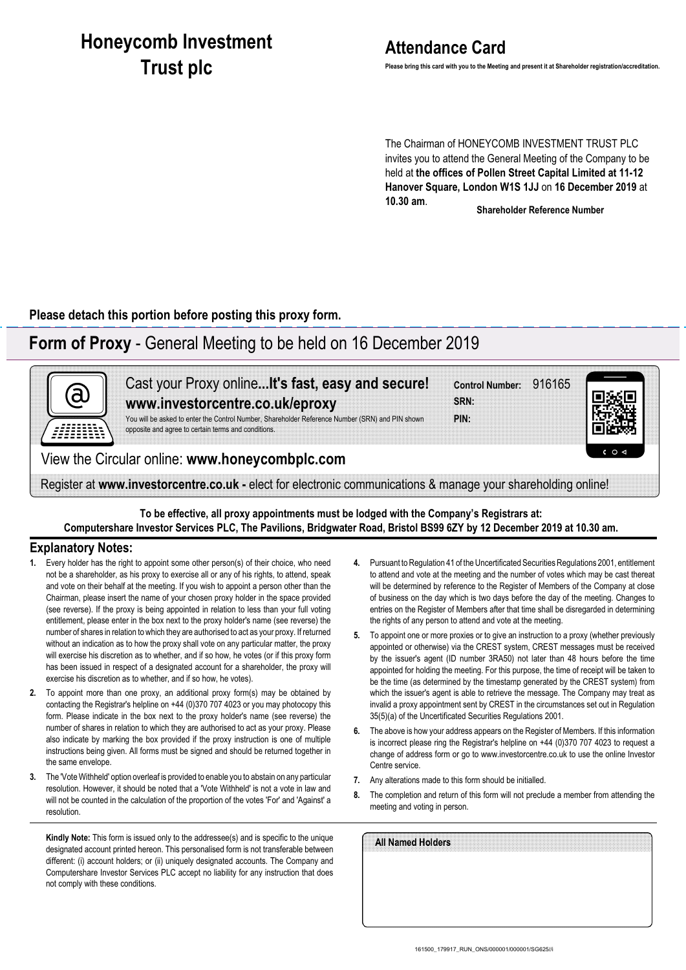# **Honeycomb Investment Trust plc**

# **Attendance Card**

**Please bring this card with you to the Meeting and present it at Shareholder registration/accreditation.**

The Chairman of HONEYCOMB INVESTMENT TRUST PLC invites you to attend the General Meeting of the Company to be held at **the offices of Pollen Street Capital Limited at 11-12 Hanover Square, London W1S 1JJ** on **16 December 2019** at **10.30 am**.

**Shareholder Reference Number**

**Please detach this portion before posting this proxy form.**

## **Form of Proxy** - General Meeting to be held on 16 December 2019



**To be effective, all proxy appointments must be lodged with the Company's Registrars at: Computershare Investor Services PLC, The Pavilions, Bridgwater Road, Bristol BS99 6ZY by 12 December 2019 at 10.30 am.**

### **Explanatory Notes:**

- **1.** Every holder has the right to appoint some other person(s) of their choice, who need not be a shareholder, as his proxy to exercise all or any of his rights, to attend, speak and vote on their behalf at the meeting. If you wish to appoint a person other than the Chairman, please insert the name of your chosen proxy holder in the space provided (see reverse). If the proxy is being appointed in relation to less than your full voting entitlement, please enter in the box next to the proxy holder's name (see reverse) the number of shares in relation to which they are authorised to act as your proxy. If returned without an indication as to how the proxy shall vote on any particular matter, the proxy will exercise his discretion as to whether, and if so how, he votes (or if this proxy form has been issued in respect of a designated account for a shareholder, the proxy will exercise his discretion as to whether, and if so how, he votes).
- **2.** To appoint more than one proxy, an additional proxy form(s) may be obtained by contacting the Registrar's helpline on +44 (0)370 707 4023 or you may photocopy this form. Please indicate in the box next to the proxy holder's name (see reverse) the number of shares in relation to which they are authorised to act as your proxy. Please also indicate by marking the box provided if the proxy instruction is one of multiple instructions being given. All forms must be signed and should be returned together in the same envelope.
- **3.** The 'Vote Withheld' option overleaf is provided to enable you to abstain on any particular resolution. However, it should be noted that a 'Vote Withheld' is not a vote in law and will not be counted in the calculation of the proportion of the votes 'For' and 'Against' a resolution.

**Kindly Note:** This form is issued only to the addressee(s) and is specific to the unique designated account printed hereon. This personalised form is not transferable between different: (i) account holders; or (ii) uniquely designated accounts. The Company and Computershare Investor Services PLC accept no liability for any instruction that does not comply with these conditions.

- **4.** Pursuant to Regulation 41 of the Uncertificated Securities Regulations 2001, entitlement to attend and vote at the meeting and the number of votes which may be cast thereat will be determined by reference to the Register of Members of the Company at close of business on the day which is two days before the day of the meeting. Changes to entries on the Register of Members after that time shall be disregarded in determining the rights of any person to attend and vote at the meeting.
- **5.** To appoint one or more proxies or to give an instruction to a proxy (whether previously appointed or otherwise) via the CREST system, CREST messages must be received by the issuer's agent (ID number 3RA50) not later than 48 hours before the time appointed for holding the meeting. For this purpose, the time of receipt will be taken to be the time (as determined by the timestamp generated by the CREST system) from which the issuer's agent is able to retrieve the message. The Company may treat as invalid a proxy appointment sent by CREST in the circumstances set out in Regulation 35(5)(a) of the Uncertificated Securities Regulations 2001.
- **6.** The above is how your address appears on the Register of Members. If this information is incorrect please ring the Registrar's helpline on +44 (0)370 707 4023 to request a change of address form or go to www.investorcentre.co.uk to use the online Investor Centre service.
- **7.** Any alterations made to this form should be initialled.
- **8.** The completion and return of this form will not preclude a member from attending the meeting and voting in person.

| All Named Holders |  |  |  |
|-------------------|--|--|--|
|                   |  |  |  |
|                   |  |  |  |
|                   |  |  |  |
|                   |  |  |  |
|                   |  |  |  |